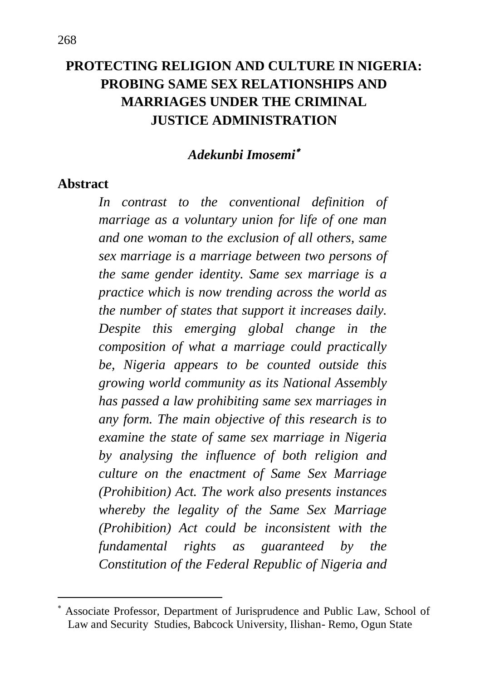# **PROTECTING RELIGION AND CULTURE IN NIGERIA: PROBING SAME SEX RELATIONSHIPS AND MARRIAGES UNDER THE CRIMINAL JUSTICE ADMINISTRATION**

#### *Adekunbi Imosemi*

#### **Abstract**

 $\overline{a}$ 

*In contrast to the conventional definition of marriage as a voluntary union for life of one man and one woman to the exclusion of all others, same sex marriage is a marriage between two persons of the same gender identity. Same sex marriage is a practice which is now trending across the world as the number of states that support it increases daily. Despite this emerging global change in the composition of what a marriage could practically be, Nigeria appears to be counted outside this growing world community as its National Assembly has passed a law prohibiting same sex marriages in any form. The main objective of this research is to examine the state of same sex marriage in Nigeria by analysing the influence of both religion and culture on the enactment of Same Sex Marriage (Prohibition) Act. The work also presents instances whereby the legality of the Same Sex Marriage (Prohibition) Act could be inconsistent with the fundamental rights as guaranteed by the Constitution of the Federal Republic of Nigeria and* 

Associate Professor, Department of Jurisprudence and Public Law, School of Law and Security Studies, Babcock University, Ilishan- Remo, Ogun State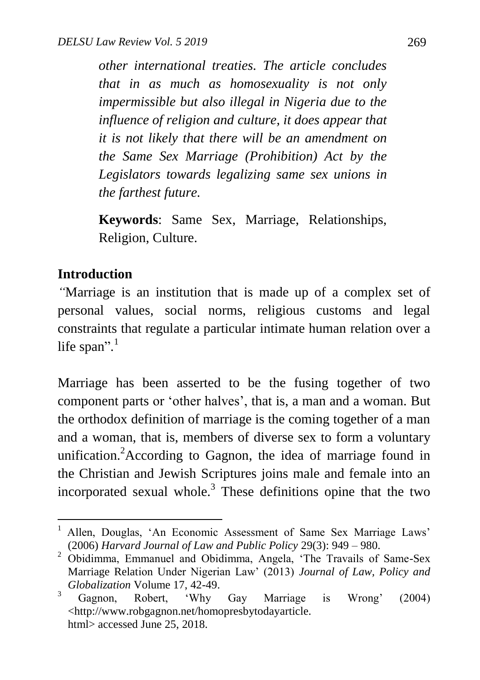*other international treaties. The article concludes that in as much as homosexuality is not only impermissible but also illegal in Nigeria due to the influence of religion and culture, it does appear that it is not likely that there will be an amendment on the Same Sex Marriage (Prohibition) Act by the Legislators towards legalizing same sex unions in the farthest future.* 

**Keywords**: Same Sex, Marriage, Relationships, Religion, Culture.

#### **Introduction**

 $\ddot{\phantom{a}}$ 

*"*Marriage is an institution that is made up of a complex set of personal values, social norms, religious customs and legal constraints that regulate a particular intimate human relation over a life span".<sup>1</sup>

Marriage has been asserted to be the fusing together of two component parts or "other halves", that is, a man and a woman. But the orthodox definition of marriage is the coming together of a man and a woman, that is, members of diverse sex to form a voluntary unification.<sup>2</sup> According to Gagnon, the idea of marriage found in the Christian and Jewish Scriptures joins male and female into an incorporated sexual whole. $3$  These definitions opine that the two

Allen, Douglas, 'An Economic Assessment of Same Sex Marriage Laws' (2006) *Harvard Journal of Law and Public Policy* 29(3): 949 – 980.

<sup>&</sup>lt;sup>2</sup> Obidimma, Emmanuel and Obidimma, Angela, 'The Travails of Same-Sex Marriage Relation Under Nigerian Law" (2013) *Journal of Law, Policy and Globalization* Volume 17, 42-49.

<sup>&</sup>lt;sup>3</sup> Gagnon, Robert, 'Why Gay Marriage is Wrong' (2004) <http://www.robgagnon.net/homopresbytodayarticle. html> accessed June 25, 2018.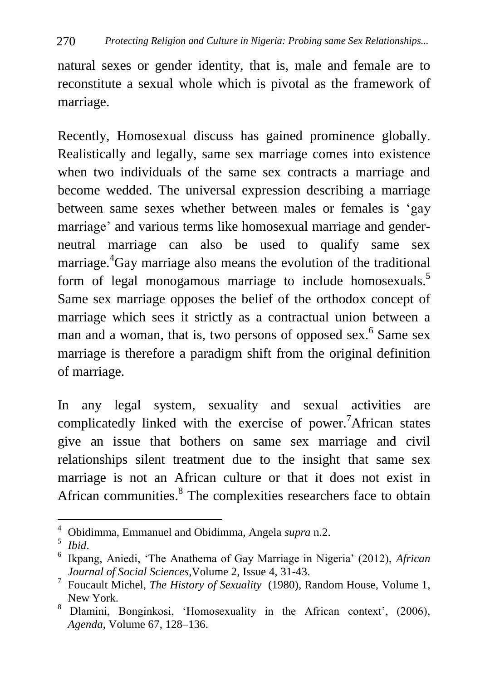natural sexes or gender identity, that is, male and female are to reconstitute a sexual whole which is pivotal as the framework of marriage.

Recently, Homosexual discuss has gained prominence globally. Realistically and legally, same sex marriage comes into existence when two individuals of the same sex contracts a marriage and become wedded. The universal expression describing a marriage between same sexes whether between males or females is "gay marriage' and various terms like homosexual marriage and genderneutral marriage can also be used to qualify same sex marriage. <sup>4</sup>Gay marriage also means the evolution of the traditional form of legal monogamous marriage to include homosexuals.<sup>5</sup> Same sex marriage opposes the belief of the orthodox concept of marriage which sees it strictly as a contractual union between a man and a woman, that is, two persons of opposed sex.<sup>6</sup> Same sex marriage is therefore a paradigm shift from the original definition of marriage.

In any legal system, sexuality and sexual activities are complicatedly linked with the exercise of power. <sup>7</sup>African states give an issue that bothers on same sex marriage and civil relationships silent treatment due to the insight that same sex marriage is not an African culture or that it does not exist in African communities.<sup>8</sup> The complexities researchers face to obtain

 $\ddot{\phantom{a}}$ 

<sup>4</sup> Obidimma, Emmanuel and Obidimma, Angela *supra* n.2.

<sup>5</sup> *Ibid*.

<sup>6</sup> Ikpang, Aniedi, "The Anathema of Gay Marriage in Nigeria" (2012), *African Journal of Social Sciences*,Volume 2, Issue 4, 31-43.

<sup>7</sup> Foucault Michel, *The History of Sexuality* (1980), Random House*,* Volume 1, New York.

<sup>&</sup>lt;sup>8</sup> Dlamini, Bonginkosi, 'Homosexuality in the African context', (2006), *Agenda*, Volume 67, 128–136.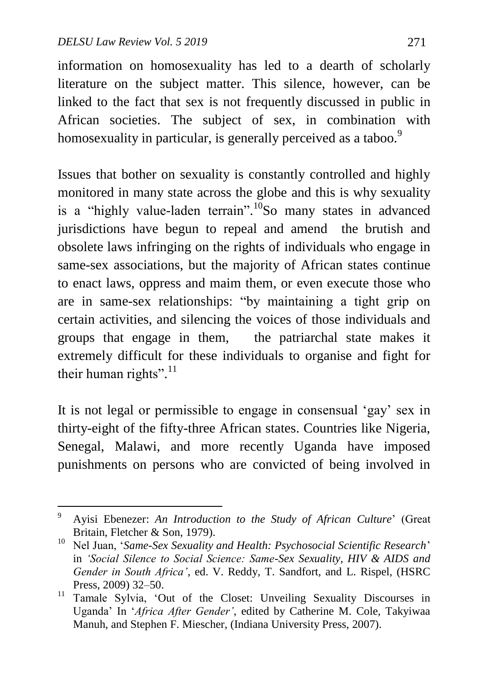1

information on homosexuality has led to a dearth of scholarly literature on the subject matter. This silence, however, can be linked to the fact that sex is not frequently discussed in public in African societies. The subject of sex, in combination with homosexuality in particular, is generally perceived as a taboo.<sup>9</sup>

Issues that bother on sexuality is constantly controlled and highly monitored in many state across the globe and this is why sexuality is a "highly value-laden terrain".<sup>10</sup>So many states in advanced jurisdictions have begun to repeal and amend the brutish and obsolete laws infringing on the rights of individuals who engage in same-sex associations, but the majority of African states continue to enact laws, oppress and maim them, or even execute those who are in same-sex relationships: "by maintaining a tight grip on certain activities, and silencing the voices of those individuals and groups that engage in them, the patriarchal state makes it extremely difficult for these individuals to organise and fight for their human rights".<sup>11</sup>

It is not legal or permissible to engage in consensual "gay" sex in thirty-eight of the fifty-three African states. Countries like Nigeria, Senegal, Malawi, and more recently Uganda have imposed punishments on persons who are convicted of being involved in

<sup>9</sup> Ayisi Ebenezer: *An Introduction to the Study of African Culture*" (Great Britain, Fletcher & Son, 1979).

<sup>10</sup> Nel Juan, "*Same-Sex Sexuality and Health: Psychosocial Scientific Research*" in *'Social Silence to Social Science: Same-Sex Sexuality, HIV & AIDS and Gender in South Africa'*, ed. V. Reddy, T. Sandfort, and L. Rispel, (HSRC Press, 2009) 32–50.

<sup>&</sup>lt;sup>11</sup> Tamale Sylvia, 'Out of the Closet: Unveiling Sexuality Discourses in Uganda" In "*Africa After Gender'*, edited by Catherine M. Cole, Takyiwaa Manuh, and Stephen F. Miescher, (Indiana University Press, 2007).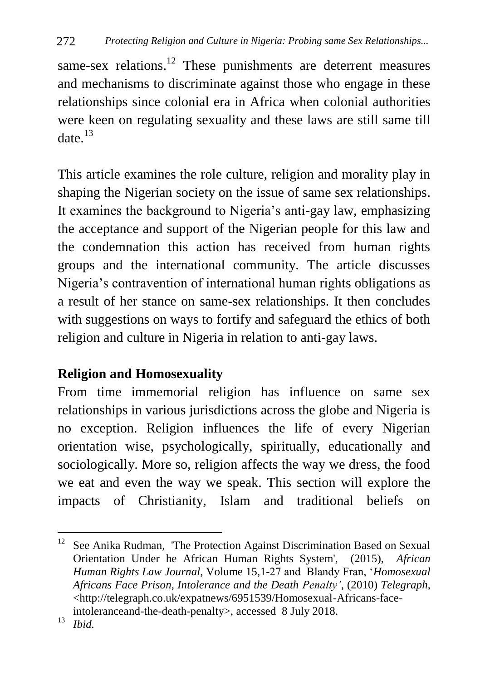same-sex relations.<sup>12</sup> These punishments are deterrent measures and mechanisms to discriminate against those who engage in these relationships since colonial era in Africa when colonial authorities were keen on regulating sexuality and these laws are still same till date  $^{13}$ 

This article examines the role culture, religion and morality play in shaping the Nigerian society on the issue of same sex relationships. It examines the background to Nigeria's anti-gay law, emphasizing the acceptance and support of the Nigerian people for this law and the condemnation this action has received from human rights groups and the international community. The article discusses Nigeria"s contravention of international human rights obligations as a result of her stance on same-sex relationships. It then concludes with suggestions on ways to fortify and safeguard the ethics of both religion and culture in Nigeria in relation to anti-gay laws.

## **Religion and Homosexuality**

From time immemorial religion has influence on same sex relationships in various jurisdictions across the globe and Nigeria is no exception. Religion influences the life of every Nigerian orientation wise, psychologically, spiritually, educationally and sociologically. More so, religion affects the way we dress, the food we eat and even the way we speak. This section will explore the impacts of Christianity, Islam and traditional beliefs on

 $\overline{a}$  $12$  See Anika Rudman, 'The Protection Against Discrimination Based on Sexual Orientation Under he African Human Rights System', (2015), *African Human Rights Law Journal,* Volume 15,1-27 and Blandy Fran, "*Homosexual Africans Face Prison, Intolerance and the Death Penalty'*, (2010) *Telegraph*, [<http://telegraph.co.uk/expatnews/6951539/Homosexual-Africans-face-](http://telegraph.co.uk/expatnews/6951539/Homosexual-Africans-face-intoleranceand-the-death-penalty)

[intoleranceand-the-death-penalty>](http://telegraph.co.uk/expatnews/6951539/Homosexual-Africans-face-intoleranceand-the-death-penalty), accessed 8 July 2018.

<sup>13</sup> *Ibid.*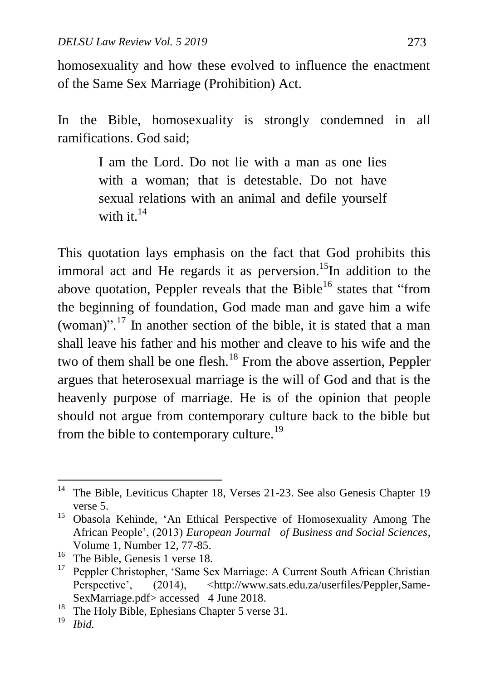homosexuality and how these evolved to influence the enactment of the Same Sex Marriage (Prohibition) Act.

In the Bible, homosexuality is strongly condemned in all ramifications. God said;

> I am the Lord. Do not lie with a man as one lies with a woman; that is detestable. Do not have sexual relations with an animal and defile yourself with it.<sup>14</sup>

This quotation lays emphasis on the fact that God prohibits this immoral act and He regards it as perversion.<sup>15</sup>In addition to the above quotation, Peppler reveals that the Bible<sup>16</sup> states that "from the beginning of foundation, God made man and gave him a wife (woman)".<sup>17</sup> In another section of the bible, it is stated that a man shall leave his father and his mother and cleave to his wife and the two of them shall be one flesh.<sup>18</sup> From the above assertion, Peppler argues that heterosexual marriage is the will of God and that is the heavenly purpose of marriage. He is of the opinion that people should not argue from contemporary culture back to the bible but from the bible to contemporary culture.<sup>19</sup>

 $14$ <sup>14</sup> The Bible, Leviticus Chapter 18, Verses 21-23. See also Genesis Chapter 19 verse 5.

<sup>&</sup>lt;sup>15</sup> Obasola Kehinde, 'An Ethical Perspective of Homosexuality Among The African People", (2013) *European Journal of Business and Social Sciences*, Volume 1, Number 12, 77-85.

<sup>&</sup>lt;sup>16</sup> The Bible, Genesis 1 verse 18.<br><sup>17</sup> Pennler Christopher, Same Se

<sup>17</sup> Peppler Christopher, "Same Sex Marriage: A Current South African Christian Perspective', (2014), [<http://www.sats.edu.za/userfiles/Peppler,Same-](http://www.sats.edu.za/userfiles/Peppler,Same-SexMarriage.pdf)[SexMarriage.pdf>](http://www.sats.edu.za/userfiles/Peppler,Same-SexMarriage.pdf) accessed 4 June 2018.

<sup>&</sup>lt;sup>18</sup> The Holy Bible, Ephesians Chapter 5 verse 31.

<sup>19</sup> *Ibid.*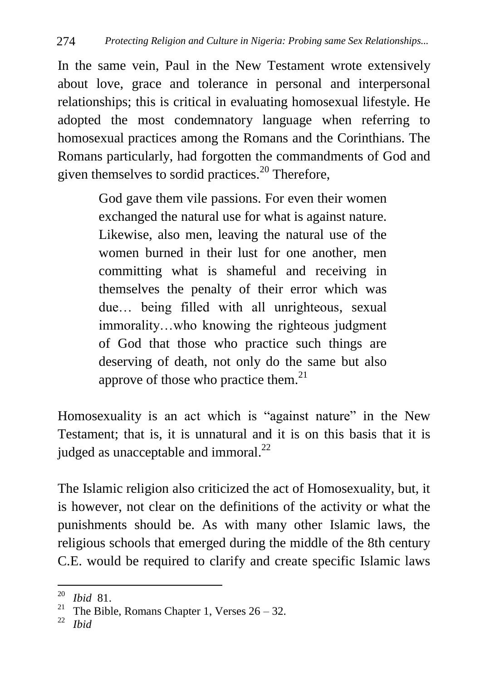In the same vein, Paul in the New Testament wrote extensively about love, grace and tolerance in personal and interpersonal relationships; this is critical in evaluating homosexual lifestyle. He adopted the most condemnatory language when referring to homosexual practices among the Romans and the Corinthians. The Romans particularly, had forgotten the commandments of God and given themselves to sordid practices.<sup>20</sup> Therefore,

> God gave them vile passions. For even their women exchanged the natural use for what is against nature. Likewise, also men, leaving the natural use of the women burned in their lust for one another, men committing what is shameful and receiving in themselves the penalty of their error which was due… being filled with all unrighteous, sexual immorality…who knowing the righteous judgment of God that those who practice such things are deserving of death, not only do the same but also approve of those who practice them. $^{21}$

Homosexuality is an act which is "against nature" in the New Testament; that is, it is unnatural and it is on this basis that it is judged as unacceptable and immoral.<sup>22</sup>

The Islamic religion also criticized the act of Homosexuality, but, it is however, not clear on the definitions of the activity or what the punishments should be. As with many other Islamic laws, the religious schools that emerged during the middle of the 8th century C.E. would be required to clarify and create specific Islamic laws

1

 $\frac{20}{21}$  *Ibid* 81.

<sup>&</sup>lt;sup>21</sup> The Bible, Romans Chapter 1, Verses  $26 - 32$ .

<sup>22</sup> *Ibid*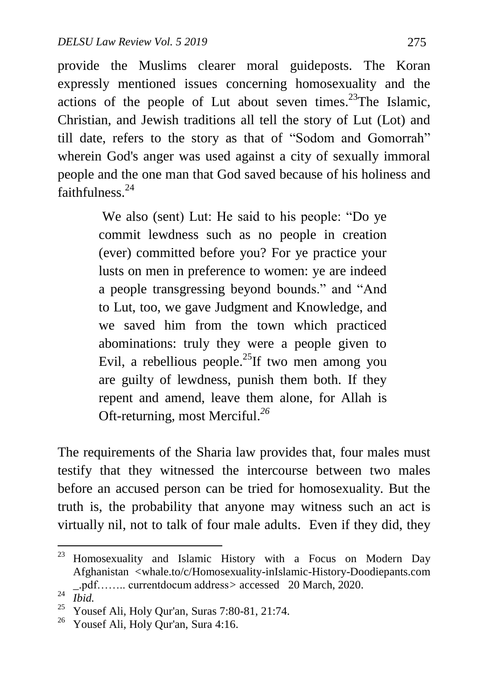provide the Muslims clearer moral guideposts. The Koran expressly mentioned issues concerning homosexuality and the actions of the people of Lut about seven times.<sup>23</sup>The Islamic, Christian, and Jewish traditions all tell the story of Lut (Lot) and till date, refers to the story as that of "Sodom and Gomorrah" wherein God's anger was used against a city of sexually immoral people and the one man that God saved because of his holiness and faithfulness.<sup>24</sup>

> We also (sent) Lut: He said to his people: "Do ye commit lewdness such as no people in creation (ever) committed before you? For ye practice your lusts on men in preference to women: ye are indeed a people transgressing beyond bounds." and "And to Lut, too, we gave Judgment and Knowledge, and we saved him from the town which practiced abominations: truly they were a people given to Evil, a rebellious people.<sup>25</sup>If two men among you are guilty of lewdness, punish them both. If they repent and amend, leave them alone, for Allah is Oft-returning, most Merciful. *26*

The requirements of the Sharia law provides that, four males must testify that they witnessed the intercourse between two males before an accused person can be tried for homosexuality. But the truth is, the probability that anyone may witness such an act is virtually nil, not to talk of four male adults. Even if they did, they

<sup>23</sup> Homosexuality and Islamic History with a Focus on Modern Day Afghanistan <whale.to/c/Homosexuality-inIslamic-History-Doodiepants.com \_.pdf…….. currentdocum address*>* accessed 20 March, 2020.

 $^{24}$  *Ibid.* 

<sup>25</sup> Yousef Ali, Holy Qur'an, Suras 7:80-81, 21:74.

<sup>26</sup> Yousef Ali, Holy Qur'an, Sura 4:16.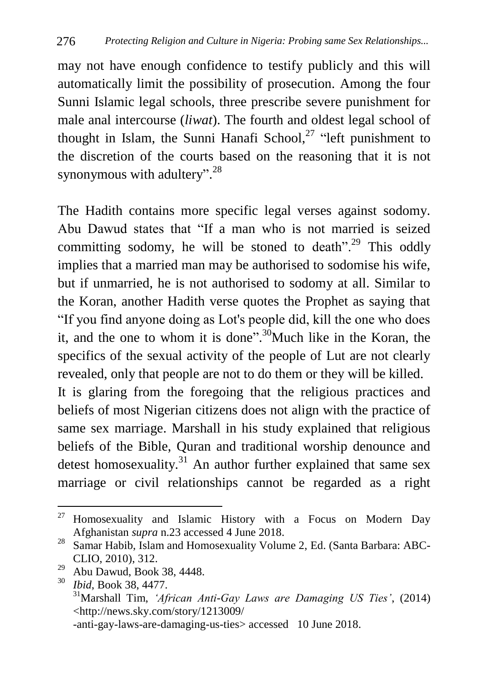may not have enough confidence to testify publicly and this will automatically limit the possibility of prosecution. Among the four Sunni Islamic legal schools, three prescribe severe punishment for male anal intercourse (*liwat*). The fourth and oldest legal school of thought in Islam, the Sunni Hanafi School,<sup>27</sup> "left punishment to the discretion of the courts based on the reasoning that it is not synonymous with adultery".<sup>28</sup>

The Hadith contains more specific legal verses against sodomy. Abu Dawud states that "If a man who is not married is seized committing sodomy, he will be stoned to death".<sup>29</sup> This oddly implies that a married man may be authorised to sodomise his wife, but if unmarried, he is not authorised to sodomy at all. Similar to the Koran, another Hadith verse quotes the Prophet as saying that "If you find anyone doing as Lot's people did, kill the one who does it, and the one to whom it is done".<sup>30</sup>Much like in the Koran, the specifics of the sexual activity of the people of Lut are not clearly revealed, only that people are not to do them or they will be killed. It is glaring from the foregoing that the religious practices and

beliefs of most Nigerian citizens does not align with the practice of same sex marriage. Marshall in his study explained that religious beliefs of the Bible, Quran and traditional worship denounce and detest homosexuality. $31$  An author further explained that same sex marriage or civil relationships cannot be regarded as a right

<sup>27</sup> <sup>27</sup> Homosexuality and Islamic History with a Focus on Modern Day Afghanistan *supra* n.23 accessed 4 June 2018.

<sup>&</sup>lt;sup>28</sup> Samar Habib, Islam and Homosexuality Volume 2, Ed. (Santa Barbara: ABC-CLIO, 2010), 312.

 $29$  Abu Dawud, Book 38, 4448.

<sup>30</sup> *Ibid*, Book 38, 4477. <sup>31</sup>Marshall Tim, *'African Anti-Gay Laws are Damaging US Ties'*, (2014) <http://news.sky.com/story/1213009/ -anti-gay-laws-are-damaging-us-ties> accessed 10 June 2018.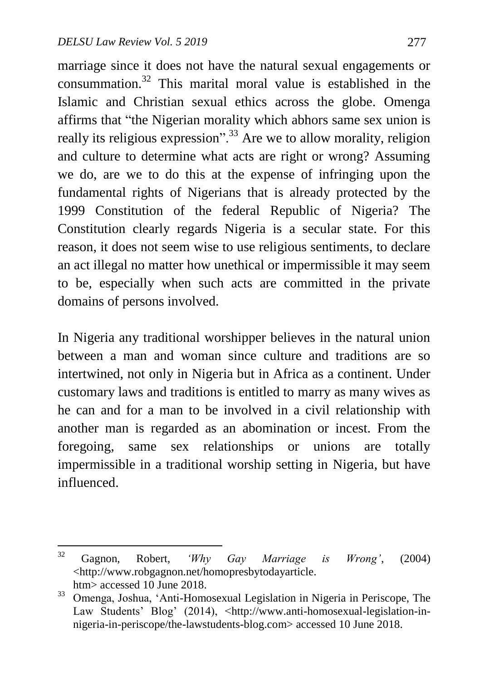marriage since it does not have the natural sexual engagements or consummation.<sup>32</sup> This marital moral value is established in the Islamic and Christian sexual ethics across the globe. Omenga affirms that "the Nigerian morality which abhors same sex union is really its religious expression".<sup>33</sup> Are we to allow morality, religion and culture to determine what acts are right or wrong? Assuming we do, are we to do this at the expense of infringing upon the fundamental rights of Nigerians that is already protected by the 1999 Constitution of the federal Republic of Nigeria? The Constitution clearly regards Nigeria is a secular state. For this reason, it does not seem wise to use religious sentiments, to declare an act illegal no matter how unethical or impermissible it may seem to be, especially when such acts are committed in the private domains of persons involved.

In Nigeria any traditional worshipper believes in the natural union between a man and woman since culture and traditions are so intertwined, not only in Nigeria but in Africa as a continent. Under customary laws and traditions is entitled to marry as many wives as he can and for a man to be involved in a civil relationship with another man is regarded as an abomination or incest. From the foregoing, same sex relationships or unions are totally impermissible in a traditional worship setting in Nigeria, but have influenced.

 $32$ <sup>32</sup> Gagnon, Robert, *'Why Gay Marriage is Wrong'*, (2004) <http://www.robgagnon.net/homopresbytodayarticle. htm> accessed 10 June 2018.

<sup>33</sup> Omenga, Joshua, "Anti-Homosexual Legislation in Nigeria in Periscope, The Law Students' Blog' (2014), <http://www.anti-homosexual-legislation-innigeria-in-periscope/the-lawstudents-blog.com> accessed 10 June 2018.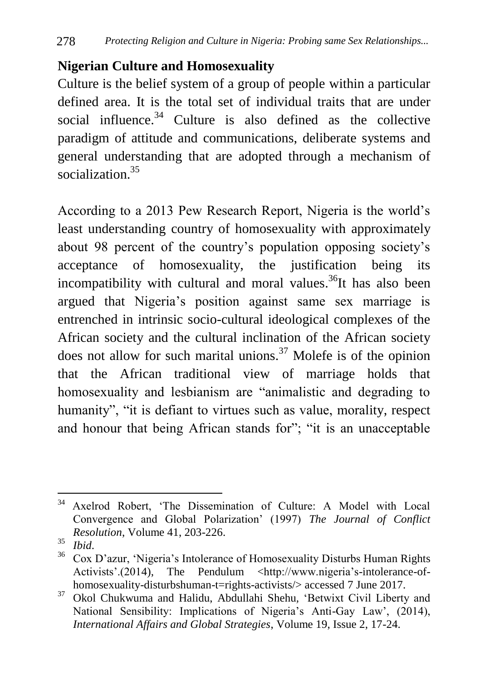## **Nigerian Culture and Homosexuality**

Culture is the belief system of a group of people within a particular defined area. It is the total set of individual traits that are under social influence.<sup>34</sup> Culture is also defined as the collective paradigm of attitude and communications, deliberate systems and general understanding that are adopted through a mechanism of socialization. 35

According to a 2013 Pew Research Report, Nigeria is the world"s least understanding country of homosexuality with approximately about 98 percent of the country"s population opposing society"s acceptance of homosexuality, the justification being its incompatibility with cultural and moral values.<sup>36</sup>It has also been argued that Nigeria"s position against same sex marriage is entrenched in intrinsic socio-cultural ideological complexes of the African society and the cultural inclination of the African society does not allow for such marital unions.<sup>37</sup> Molefe is of the opinion that the African traditional view of marriage holds that homosexuality and lesbianism are "animalistic and degrading to humanity", "it is defiant to virtues such as value, morality, respect and honour that being African stands for"; "it is an unacceptable

<sup>34</sup> Axelrod Robert, 'The Dissemination of Culture: A Model with Local Convergence and Global Polarization" (1997) *The Journal of Conflict Resolution*, Volume 41, 203-226.

<sup>35</sup> *Ibid*.

<sup>36</sup> Cox D"azur, "Nigeria"s Intolerance of Homosexuality Disturbs Human Rights Activists'.(2014), The Pendulum <http://www.nigeria's-intolerance-of[homosexuality-disturbshuman-t=rights-activists/>](http://www.nigeria) accessed 7 June 2017.

<sup>37</sup> Okol Chukwuma and Halidu, Abdullahi Shehu*,* "Betwixt Civil Liberty and National Sensibility: Implications of Nigeria's Anti-Gay Law', (2014), *International Affairs and Global Strategies*, Volume 19, Issue 2, 17-24.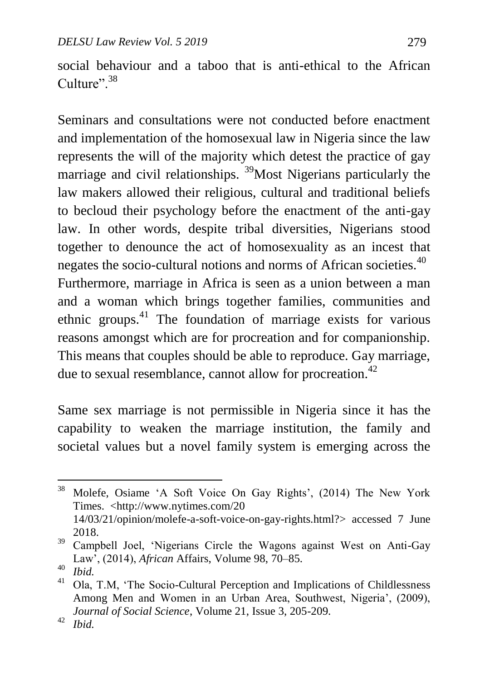social behaviour and a taboo that is anti-ethical to the African  $Culture''$ <sup>38</sup>

Seminars and consultations were not conducted before enactment and implementation of the homosexual law in Nigeria since the law represents the will of the majority which detest the practice of gay marriage and civil relationships. <sup>39</sup>Most Nigerians particularly the law makers allowed their religious, cultural and traditional beliefs to becloud their psychology before the enactment of the anti-gay law. In other words, despite tribal diversities, Nigerians stood together to denounce the act of homosexuality as an incest that negates the socio-cultural notions and norms of African societies.<sup>40</sup> Furthermore, marriage in Africa is seen as a union between a man and a woman which brings together families, communities and ethnic groups.<sup>41</sup> The foundation of marriage exists for various reasons amongst which are for procreation and for companionship. This means that couples should be able to reproduce. Gay marriage, due to sexual resemblance, cannot allow for procreation.<sup>42</sup>

Same sex marriage is not permissible in Nigeria since it has the capability to weaken the marriage institution, the family and societal values but a novel family system is emerging across the

 $\ddot{\phantom{a}}$ 

<sup>&</sup>lt;sup>38</sup> Molefe, Osiame 'A Soft Voice On Gay Rights', (2014) The New York Times. <http://www.nytimes.com/20 14/03/21/opinion/molefe-a-soft-voice-on-gay-rights.html?> accessed 7 June 2018.

<sup>&</sup>lt;sup>39</sup> Campbell Joel, 'Nigerians Circle the Wagons against West on Anti-Gay Law", (2014), *African* Affairs, Volume 98, 70–85.

 $^{40}$  *Ibid.*<br> $^{41}$   $^{10}$ 

<sup>41</sup> Ola, T.M, "The Socio-Cultural Perception and Implications of Childlessness Among Men and Women in an Urban Area, Southwest, Nigeria', (2009), *Journal of Social Science*, Volume 21, Issue 3, 205-209.

<sup>42</sup> *Ibid.*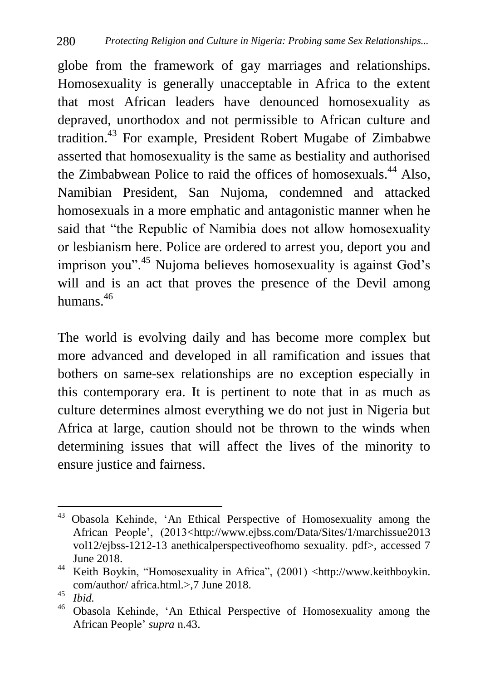globe from the framework of gay marriages and relationships. Homosexuality is generally unacceptable in Africa to the extent that most African leaders have denounced homosexuality as depraved, unorthodox and not permissible to African culture and tradition.<sup>43</sup> For example, President Robert Mugabe of Zimbabwe asserted that homosexuality is the same as bestiality and authorised the Zimbabwean Police to raid the offices of homosexuals.<sup>44</sup> Also, Namibian President, San Nujoma, condemned and attacked homosexuals in a more emphatic and antagonistic manner when he said that "the Republic of Namibia does not allow homosexuality or lesbianism here. Police are ordered to arrest you, deport you and imprison you".<sup>45</sup> Nujoma believes homosexuality is against God's will and is an act that proves the presence of the Devil among humans $46$ 

The world is evolving daily and has become more complex but more advanced and developed in all ramification and issues that bothers on same-sex relationships are no exception especially in this contemporary era. It is pertinent to note that in as much as culture determines almost everything we do not just in Nigeria but Africa at large, caution should not be thrown to the winds when determining issues that will affect the lives of the minority to ensure justice and fairness.

<sup>1</sup> <sup>43</sup> Obasola Kehinde, "An Ethical Perspective of Homosexuality among the African People", (2013<http://www.ejbss.com/Data/Sites/1/marchissue2013 vol12/ejbss-1212-13 anethicalperspectiveofhomo sexuality. pdf>, accessed 7 June 2018.

<sup>44</sup> Keith Boykin, "Homosexuality in Africa", (2001) <http://www.keithboykin. com/author/ africa.html.>,7 June 2018.

 $\frac{45}{46}$  *Ibid.* 

<sup>46</sup> Obasola Kehinde, "An Ethical Perspective of Homosexuality among the African People" *supra* n.43.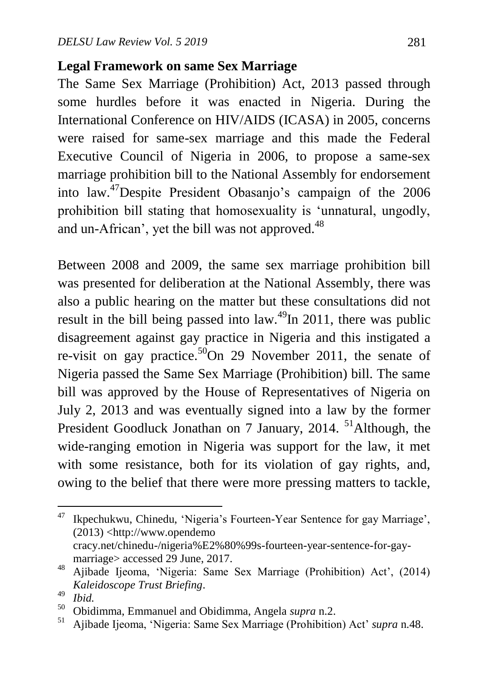#### **Legal Framework on same Sex Marriage**

The Same Sex Marriage (Prohibition) Act, 2013 passed through some hurdles before it was enacted in Nigeria. During the International Conference on HIV/AIDS (ICASA) in 2005, concerns were raised for same-sex marriage and this made the Federal Executive Council of Nigeria in 2006, to propose a same-sex marriage prohibition bill to the National Assembly for endorsement into law.<sup>47</sup>Despite President Obasanjo's campaign of the 2006 prohibition bill stating that homosexuality is "unnatural, ungodly, and un-African', yet the bill was not approved.<sup>48</sup>

Between 2008 and 2009, the same sex marriage prohibition bill was presented for deliberation at the National Assembly, there was also a public hearing on the matter but these consultations did not result in the bill being passed into law.<sup>49</sup>In 2011, there was public disagreement against gay practice in Nigeria and this instigated a re-visit on gay practice.<sup>50</sup>On 29 November 2011, the senate of Nigeria passed the Same Sex Marriage (Prohibition) bill. The same bill was approved by the House of Representatives of Nigeria on July 2, 2013 and was eventually signed into a law by the former President Goodluck Jonathan on 7 January, 2014. <sup>51</sup>Although, the wide-ranging emotion in Nigeria was support for the law, it met with some resistance, both for its violation of gay rights, and, owing to the belief that there were more pressing matters to tackle,

1

<sup>&</sup>lt;sup>47</sup> [Ikpechukwu,](http://www.opendemocracy.net/author/chinedu-ikpechukwu) Chinedu, 'Nigeria's Fourteen-Year Sentence for gay Marriage', (2013) <http://www.opendemo cracy.net/chinedu-/nigeria%E2%80%99s-fourteen-year-sentence-for-gaymarriage> accessed 29 June, 2017.

<sup>48</sup> Ajibade Ijeoma, 'Nigeria: Same Sex Marriage (Prohibition) Act', (2014) *Kaleidoscope Trust Briefing*.

 $^{49}$  *Ibid.*<br> $^{50}$  Obid

<sup>50</sup> Obidimma, Emmanuel and Obidimma, Angela *supra* n.2.

<sup>51</sup> Ajibade Ijeoma, "Nigeria: Same Sex Marriage (Prohibition) Act" *supra* n.48.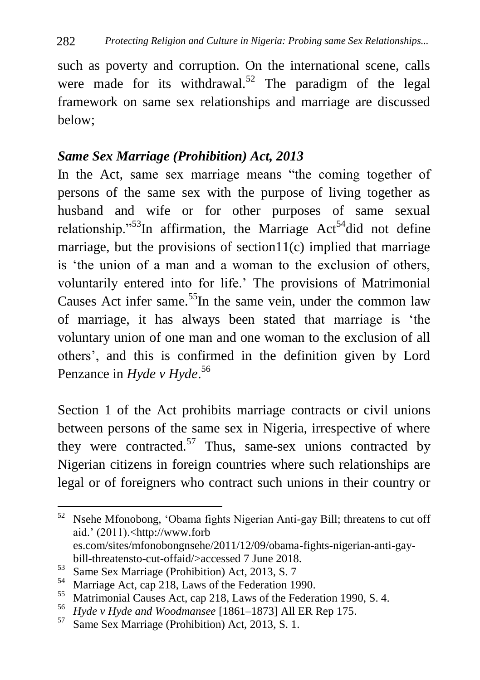such as poverty and corruption. On the international scene, calls were made for its withdrawal.<sup>52</sup> The paradigm of the legal framework on same sex relationships and marriage are discussed below;

#### *Same Sex Marriage (Prohibition) Act, 2013*

In the Act, same sex marriage means "the coming together of persons of the same sex with the purpose of living together as husband and wife or for other purposes of same sexual relationship.<sup>"53</sup>In affirmation, the Marriage  $Act<sup>54</sup>$ did not define marriage, but the provisions of section11 $(c)$  implied that marriage is "the union of a man and a woman to the exclusion of others, voluntarily entered into for life." The provisions of Matrimonial Causes Act infer same.<sup>55</sup>In the same vein, under the common law of marriage, it has always been stated that marriage is "the voluntary union of one man and one woman to the exclusion of all others", and this is confirmed in the definition given by Lord Penzance in *Hyde v Hyde*. 56

Section 1 of the Act prohibits marriage contracts or civil unions between persons of the same sex in Nigeria, irrespective of where they were contracted.<sup>57</sup> Thus, same-sex unions contracted by Nigerian citizens in foreign countries where such relationships are legal or of foreigners who contract such unions in their country or

1

<sup>52</sup> Nsehe Mfonobong, "Obama fights Nigerian Anti-gay Bill; threatens to cut off aid." (2011).[<http://www.](http://www/)forb es.com/sites/mfonobongnsehe/2011/12/09/obama-fights-nigerian-anti-gaybill-threatensto-cut-offaid/>accessed 7 June 2018.

<sup>&</sup>lt;sup>53</sup> Same Sex Marriage (Prohibition) Act, 2013, S. 7<br><sup>54</sup> Marriage Act, can 218, Laws of the Eederation 19

<sup>&</sup>lt;sup>54</sup> Marriage Act, cap 218, Laws of the Federation 1990.<br><sup>55</sup> Matrimonial Causes Act, cap 218, Laws of the Federation

<sup>&</sup>lt;sup>55</sup> Matrimonial Causes Act, cap 218, Laws of the Federation 1990, S. 4.<br><sup>56</sup> *Ladax: Hada and Woodmanace* 11861, 18731 All EP Pop 175

<sup>56</sup> *Hyde v Hyde and Woodmansee* [1861–1873] All ER Rep 175.

Same Sex Marriage (Prohibition) Act, 2013, S. 1.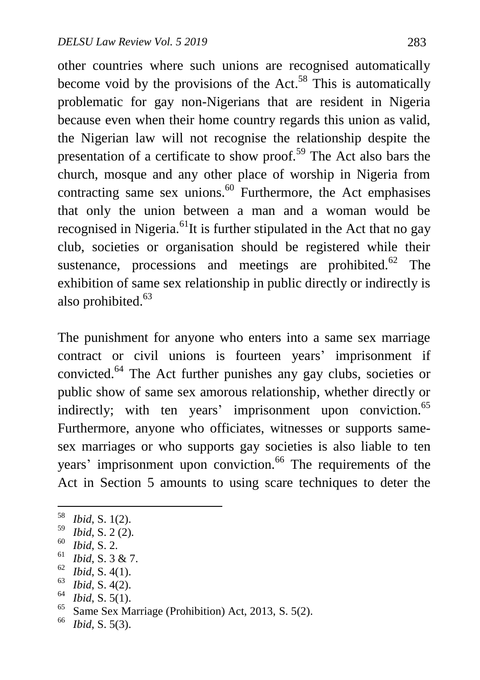other countries where such unions are recognised automatically become void by the provisions of the Act.<sup>58</sup> This is automatically problematic for gay non-Nigerians that are resident in Nigeria because even when their home country regards this union as valid, the Nigerian law will not recognise the relationship despite the presentation of a certificate to show proof.<sup>59</sup> The Act also bars the church, mosque and any other place of worship in Nigeria from contracting same sex unions.<sup>60</sup> Furthermore, the Act emphasises that only the union between a man and a woman would be recognised in Nigeria.<sup>61</sup>It is further stipulated in the Act that no gay club, societies or organisation should be registered while their sustenance, processions and meetings are prohibited. $62$  The exhibition of same sex relationship in public directly or indirectly is also prohibited. $63$ 

The punishment for anyone who enters into a same sex marriage contract or civil unions is fourteen years' imprisonment if convicted.<sup>64</sup> The Act further punishes any gay clubs, societies or public show of same sex amorous relationship, whether directly or indirectly; with ten years' imprisonment upon conviction.<sup>65</sup> Furthermore, anyone who officiates, witnesses or supports samesex marriages or who supports gay societies is also liable to ten years' imprisonment upon conviction.<sup>66</sup> The requirements of the Act in Section 5 amounts to using scare techniques to deter the

 $^{60}$  *Ibid*, S. 2.

1

 $^{62}$  *Ibid*, S. 4(1).

 $^{64}$  *Ibid*, S. 5(1).

<sup>58</sup> *Ibid*, S. 1(2).

<sup>59</sup> *Ibid*, S. 2 (2).

 $^{61}$  *Ibid*, S. 3 & 7.

 $\frac{63}{64}$  *Ibid*, S. 4(2).

<sup>&</sup>lt;sup>65</sup> Same Sex Marriage (Prohibition) Act, 2013, S. 5(2).

*Ibid*, S. 5(3).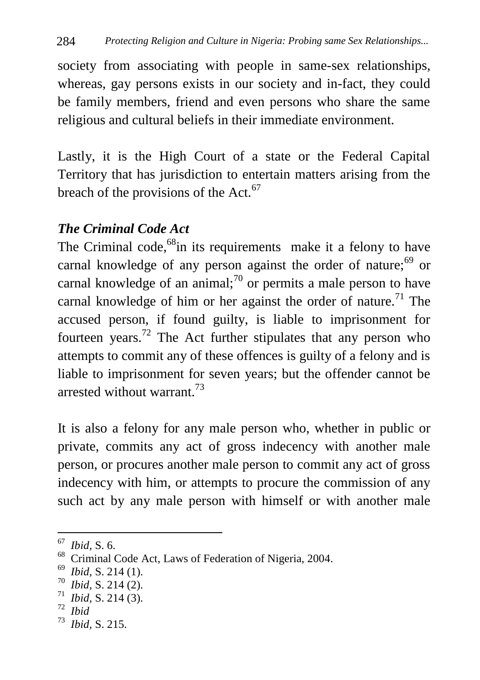society from associating with people in same-sex relationships, whereas, gay persons exists in our society and in-fact, they could be family members, friend and even persons who share the same religious and cultural beliefs in their immediate environment.

Lastly, it is the High Court of a state or the Federal Capital Territory that has jurisdiction to entertain matters arising from the breach of the provisions of the Act. $67$ 

## *The Criminal Code Act*

The Criminal code,<sup>68</sup>in its requirements make it a felony to have carnal knowledge of any person against the order of nature;  $69$  or carnal knowledge of an animal;<sup>70</sup> or permits a male person to have carnal knowledge of him or her against the order of nature.<sup>71</sup> The accused person, if found guilty, is liable to imprisonment for fourteen years.<sup>72</sup> The Act further stipulates that any person who attempts to commit any of these offences is guilty of a felony and is liable to imprisonment for seven years; but the offender cannot be arrested without warrant.<sup>73</sup>

It is also a felony for any male person who, whether in public or private, commits any act of gross indecency with another male person, or procures another male person to commit any act of gross indecency with him, or attempts to procure the commission of any such act by any male person with himself or with another male

72  *Ibid*

 $\overline{a}$ 

<sup>67</sup> *Ibid*, S. 6.

<sup>&</sup>lt;sup>68</sup> Criminal Code Act, Laws of Federation of Nigeria, 2004.

<sup>69</sup>  *Ibid,* S. 214 (1).

<sup>70</sup>  *Ibid,* S. 214 (2).

<sup>71</sup>  *Ibid,* S. 214 (3).

<sup>73</sup>  *Ibid,* S. 215.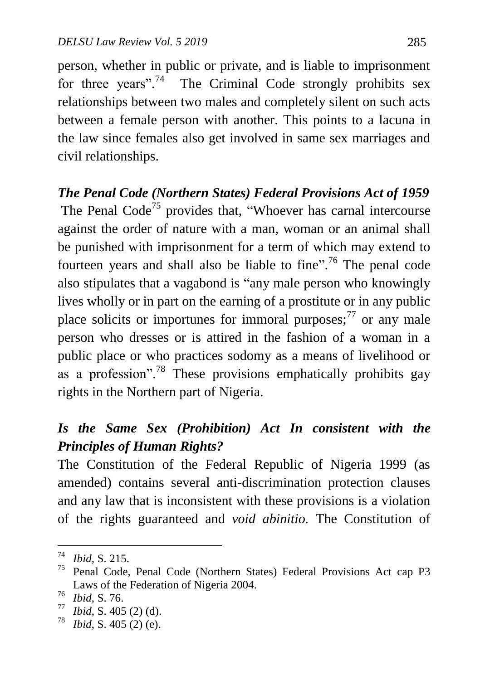person, whether in public or private, and is liable to imprisonment for three years".<sup>74</sup> The Criminal Code strongly prohibits sex relationships between two males and completely silent on such acts between a female person with another. This points to a lacuna in the law since females also get involved in same sex marriages and civil relationships.

#### *The Penal Code (Northern States) Federal Provisions Act of 1959*

The Penal  $Code^{75}$  provides that, "Whoever has carnal intercourse against the order of nature with a man, woman or an animal shall be punished with imprisonment for a term of which may extend to fourteen years and shall also be liable to fine".<sup>76</sup> The penal code also stipulates that a vagabond is "any male person who knowingly lives wholly or in part on the earning of a prostitute or in any public place solicits or importunes for immoral purposes; $^{77}$  or any male person who dresses or is attired in the fashion of a woman in a public place or who practices sodomy as a means of livelihood or as a profession".<sup>78</sup> These provisions emphatically prohibits gay rights in the Northern part of Nigeria.

# *Is the Same Sex (Prohibition) Act In consistent with the Principles of Human Rights?*

The Constitution of the Federal Republic of Nigeria 1999 (as amended) contains several anti-discrimination protection clauses and any law that is inconsistent with these provisions is a violation of the rights guaranteed and *void abinitio.* The Constitution of

 $\frac{1}{74}$  *Ibid,* S. 215.

<sup>75</sup> Penal Code, Penal Code (Northern States) Federal Provisions Act cap P3 Laws of the Federation of Nigeria 2004.

 $^{76}$  *Ibid*, S. 76.<br> $^{77}$  *Ibid*, S. 405

<sup>&</sup>lt;sup>77</sup> *Ibid,* **S**. 405 (2) (d).<br><sup>78</sup> *Ibid*, **S**. 405 (2) (c).

*Ibid*, S. 405 (2) (e).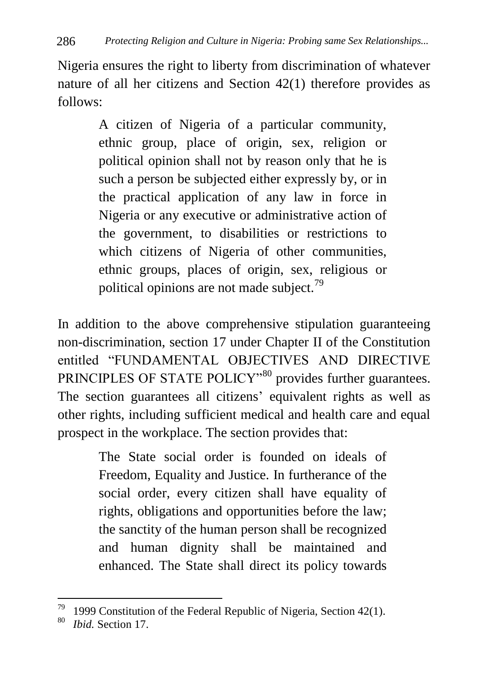Nigeria ensures the right to liberty from discrimination of whatever nature of all her citizens and Section 42(1) therefore provides as follows:

> A citizen of Nigeria of a particular community, ethnic group, place of origin, sex, religion or political opinion shall not by reason only that he is such a person be subjected either expressly by, or in the practical application of any law in force in Nigeria or any executive or administrative action of the government, to disabilities or restrictions to which citizens of Nigeria of other communities, ethnic groups, places of origin, sex, religious or political opinions are not made subject.<sup>79</sup>

In addition to the above comprehensive stipulation guaranteeing non-discrimination, section 17 under Chapter II of the Constitution entitled "FUNDAMENTAL OBJECTIVES AND DIRECTIVE PRINCIPLES OF STATE POLICY"<sup>80</sup> provides further guarantees. The section guarantees all citizens' equivalent rights as well as other rights, including sufficient medical and health care and equal prospect in the workplace. The section provides that:

> The State social order is founded on ideals of Freedom, Equality and Justice. In furtherance of the social order, every citizen shall have equality of rights, obligations and opportunities before the law; the sanctity of the human person shall be recognized and human dignity shall be maintained and enhanced. The State shall direct its policy towards

 $\ddot{\phantom{a}}$ 

<sup>&</sup>lt;sup>79</sup> 1999 Constitution of the Federal Republic of Nigeria, Section 42(1).

<sup>80</sup> *Ibid.* Section 17.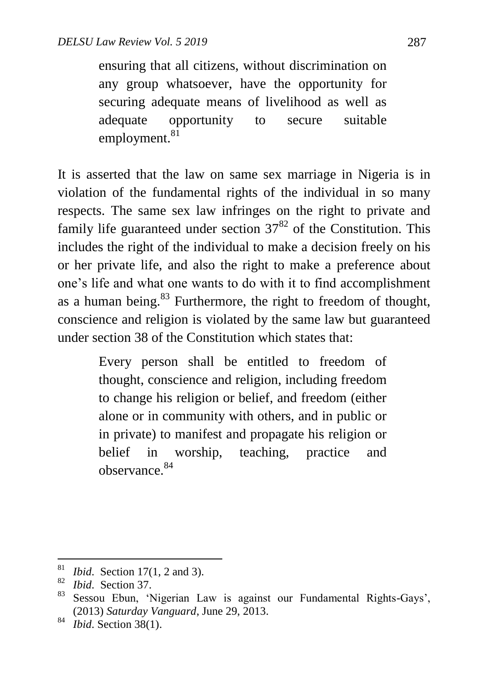ensuring that all citizens, without discrimination on any group whatsoever, have the opportunity for securing adequate means of livelihood as well as adequate opportunity to secure suitable employment.<sup>81</sup>

It is asserted that the law on same sex marriage in Nigeria is in violation of the fundamental rights of the individual in so many respects. The same sex law infringes on the right to private and family life guaranteed under section  $37^{82}$  of the Constitution. This includes the right of the individual to make a decision freely on his or her private life, and also the right to make a preference about one"s life and what one wants to do with it to find accomplishment as a human being.<sup>83</sup> Furthermore, the right to freedom of thought, conscience and religion is violated by the same law but guaranteed under section 38 of the Constitution which states that:

> Every person shall be entitled to freedom of thought, conscience and religion, including freedom to change his religion or belief, and freedom (either alone or in community with others, and in public or in private) to manifest and propagate his religion or belief in worship, teaching, practice and observance.<sup>84</sup>

<sup>81</sup> <sup>81</sup> *Ibid.* Section 17(1, 2 and 3).

*Ibid.* Section 37.

<sup>&</sup>lt;sup>83</sup> Sessou Ebun, 'Nigerian Law is against our Fundamental Rights-Gays', (2013) *Saturday Vanguard*, June 29, 2013.

<sup>84</sup> *Ibid*. Section 38(1).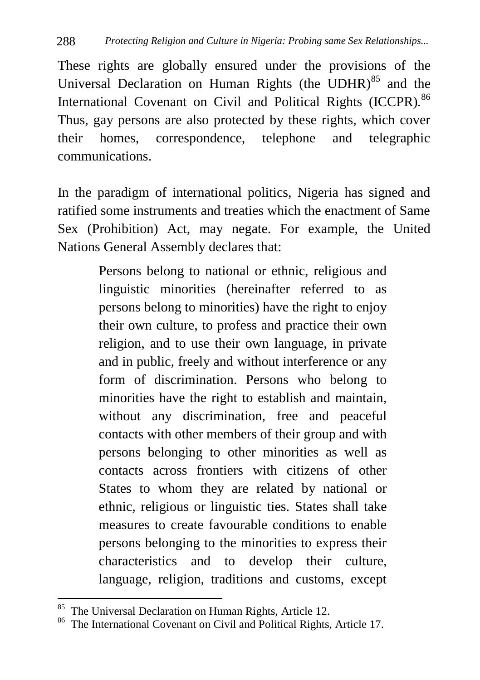These rights are globally ensured under the provisions of the Universal Declaration on Human Rights (the UDHR) $85$  and the International Covenant on Civil and Political Rights (ICCPR).<sup>86</sup> Thus, gay persons are also protected by these rights, which cover their homes, correspondence, telephone and telegraphic communications.

In the paradigm of international politics, Nigeria has signed and ratified some instruments and treaties which the enactment of Same Sex (Prohibition) Act, may negate. For example, the United Nations General Assembly declares that:

> Persons belong to national or ethnic, religious and linguistic minorities (hereinafter referred to as persons belong to minorities) have the right to enjoy their own culture, to profess and practice their own religion, and to use their own language, in private and in public, freely and without interference or any form of discrimination. Persons who belong to minorities have the right to establish and maintain, without any discrimination, free and peaceful contacts with other members of their group and with persons belonging to other minorities as well as contacts across frontiers with citizens of other States to whom they are related by national or ethnic, religious or linguistic ties. States shall take measures to create favourable conditions to enable persons belonging to the minorities to express their characteristics and to develop their culture, language, religion, traditions and customs, except

 $\ddot{\phantom{a}}$ 

<sup>&</sup>lt;sup>85</sup> The Universal Declaration on Human Rights, Article 12.

<sup>86</sup> The International Covenant on Civil and Political Rights, Article 17.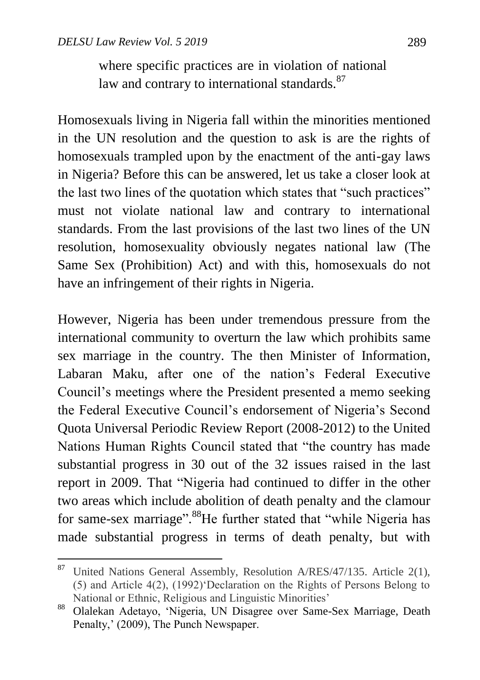$\ddot{\phantom{a}}$ 

where specific practices are in violation of national law and contrary to international standards.<sup>87</sup>

Homosexuals living in Nigeria fall within the minorities mentioned in the UN resolution and the question to ask is are the rights of homosexuals trampled upon by the enactment of the anti-gay laws in Nigeria? Before this can be answered, let us take a closer look at the last two lines of the quotation which states that "such practices" must not violate national law and contrary to international standards. From the last provisions of the last two lines of the UN resolution, homosexuality obviously negates national law (The Same Sex (Prohibition) Act) and with this, homosexuals do not have an infringement of their rights in Nigeria.

However, Nigeria has been under tremendous pressure from the international community to overturn the law which prohibits same sex marriage in the country. The then Minister of Information, Labaran Maku, after one of the nation"s Federal Executive Council"s meetings where the President presented a memo seeking the Federal Executive Council"s endorsement of Nigeria"s Second Quota Universal Periodic Review Report (2008-2012) to the United Nations Human Rights Council stated that "the country has made substantial progress in 30 out of the 32 issues raised in the last report in 2009. That "Nigeria had continued to differ in the other two areas which include abolition of death penalty and the clamour for same-sex marriage".<sup>88</sup>He further stated that "while Nigeria has made substantial progress in terms of death penalty, but with

<sup>&</sup>lt;sup>87</sup> United Nations General Assembly, Resolution A/RES/47/135. Article 2(1), (5) and Article 4(2), (1992)"Declaration on the Rights of Persons Belong to National or Ethnic, Religious and Linguistic Minorities"

<sup>88</sup> Olalekan Adetayo, "Nigeria, UN Disagree over Same-Sex Marriage, Death Penalty,' (2009), The Punch Newspaper.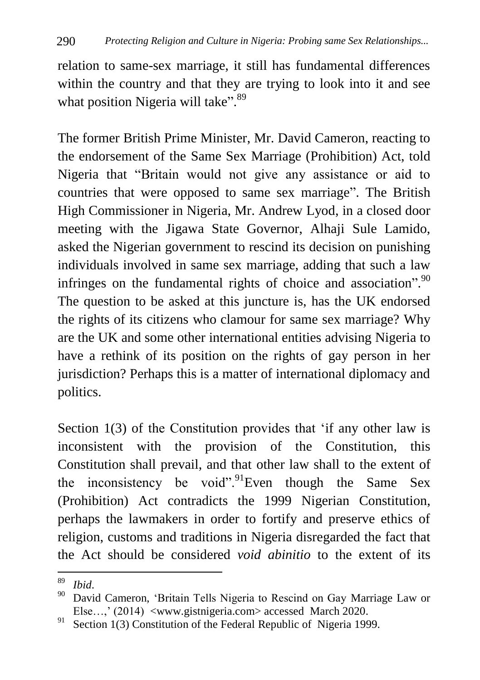relation to same-sex marriage, it still has fundamental differences within the country and that they are trying to look into it and see what position Nigeria will take".<sup>89</sup>

The former British Prime Minister, Mr. David Cameron, reacting to the endorsement of the Same Sex Marriage (Prohibition) Act, told Nigeria that "Britain would not give any assistance or aid to countries that were opposed to same sex marriage". The British High Commissioner in Nigeria, Mr. Andrew Lyod, in a closed door meeting with the Jigawa State Governor, Alhaji Sule Lamido, asked the Nigerian government to rescind its decision on punishing individuals involved in same sex marriage, adding that such a law infringes on the fundamental rights of choice and association".<sup>90</sup> The question to be asked at this juncture is, has the UK endorsed the rights of its citizens who clamour for same sex marriage? Why are the UK and some other international entities advising Nigeria to have a rethink of its position on the rights of gay person in her jurisdiction? Perhaps this is a matter of international diplomacy and politics.

Section 1(3) of the Constitution provides that 'if any other law is inconsistent with the provision of the Constitution, this Constitution shall prevail, and that other law shall to the extent of the inconsistency be void". Even though the Same Sex (Prohibition) Act contradicts the 1999 Nigerian Constitution, perhaps the lawmakers in order to fortify and preserve ethics of religion, customs and traditions in Nigeria disregarded the fact that the Act should be considered *void abinitio* to the extent of its

<sup>89</sup> <sup>89</sup> *Ibid*.

David Cameron, 'Britain Tells Nigeria to Rescind on Gay Marriage Law or Else…," (2014) <www.gistnigeria.com> accessed March 2020.

<sup>&</sup>lt;sup>91</sup> Section 1(3) Constitution of the Federal Republic of Nigeria 1999.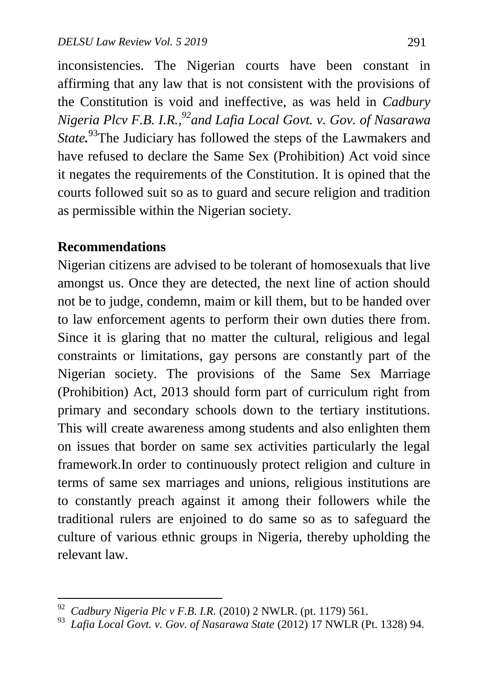inconsistencies. The Nigerian courts have been constant in affirming that any law that is not consistent with the provisions of the Constitution is void and ineffective, as was held in *Cadbury Nigeria Plcv F.B. I.R., <sup>92</sup>and Lafia Local Govt. v. Gov. of Nasarawa State.* <sup>93</sup>The Judiciary has followed the steps of the Lawmakers and have refused to declare the Same Sex (Prohibition) Act void since it negates the requirements of the Constitution. It is opined that the courts followed suit so as to guard and secure religion and tradition as permissible within the Nigerian society.

## **Recommendations**

Nigerian citizens are advised to be tolerant of homosexuals that live amongst us. Once they are detected, the next line of action should not be to judge, condemn, maim or kill them, but to be handed over to law enforcement agents to perform their own duties there from. Since it is glaring that no matter the cultural, religious and legal constraints or limitations, gay persons are constantly part of the Nigerian society. The provisions of the Same Sex Marriage (Prohibition) Act, 2013 should form part of curriculum right from primary and secondary schools down to the tertiary institutions. This will create awareness among students and also enlighten them on issues that border on same sex activities particularly the legal framework.In order to continuously protect religion and culture in terms of same sex marriages and unions, religious institutions are to constantly preach against it among their followers while the traditional rulers are enjoined to do same so as to safeguard the culture of various ethnic groups in Nigeria, thereby upholding the relevant law.

 92  *Cadbury Nigeria Plc v F.B. I.R.* (2010) 2 NWLR. (pt. 1179) 561.

<sup>93</sup>  *Lafia Local Govt. v. Gov. of Nasarawa State* (2012) 17 NWLR (Pt. 1328) 94.